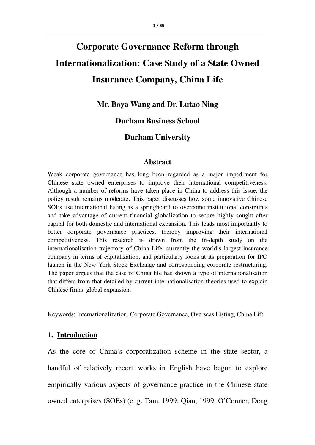# **Corporate Governance Reform through Internationalization: Case Study of a State Owned Insurance Company, China Life**

**Mr. Boya Wang and Dr. Lutao Ning** 

**Durham Business School** 

# **Durham University**

#### **Abstract**

Weak corporate governance has long been regarded as a major impediment for Chinese state owned enterprises to improve their international competitiveness. Although a number of reforms have taken place in China to address this issue, the policy result remains moderate. This paper discusses how some innovative Chinese SOEs use international listing as a springboard to overcome institutional constraints and take advantage of current financial globalization to secure highly sought after capital for both domestic and international expansion. This leads most importantly to better corporate governance practices, thereby improving their international competitiveness. This research is drawn from the in-depth study on the internationalisation trajectory of China Life, currently the world's largest insurance company in terms of capitalization, and particularly looks at its preparation for IPO launch in the New York Stock Exchange and corresponding corporate restructuring. The paper argues that the case of China life has shown a type of internationalisation that differs from that detailed by current internationalisation theories used to explain Chinese firms' global expansion.

Keywords: Internationalization, Corporate Governance, Overseas Listing, China Life

#### **1. Introduction**

As the core of China's corporatization scheme in the state sector, a handful of relatively recent works in English have begun to explore empirically various aspects of governance practice in the Chinese state owned enterprises (SOEs) (e. g. Tam, 1999; Qian, 1999; O'Conner, Deng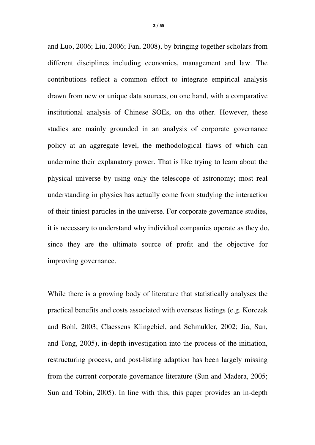and Luo, 2006; Liu, 2006; Fan, 2008), by bringing together scholars from different disciplines including economics, management and law. The contributions reflect a common effort to integrate empirical analysis drawn from new or unique data sources, on one hand, with a comparative institutional analysis of Chinese SOEs, on the other. However, these studies are mainly grounded in an analysis of corporate governance policy at an aggregate level, the methodological flaws of which can undermine their explanatory power. That is like trying to learn about the physical universe by using only the telescope of astronomy; most real understanding in physics has actually come from studying the interaction of their tiniest particles in the universe. For corporate governance studies, it is necessary to understand why individual companies operate as they do, since they are the ultimate source of profit and the objective for improving governance.

While there is a growing body of literature that statistically analyses the practical benefits and costs associated with overseas listings (e.g. Korczak and Bohl, 2003; Claessens Klingebiel, and Schmukler, 2002; Jia, Sun, and Tong, 2005), in-depth investigation into the process of the initiation, restructuring process, and post-listing adaption has been largely missing from the current corporate governance literature (Sun and Madera, 2005; Sun and Tobin, 2005). In line with this, this paper provides an in-depth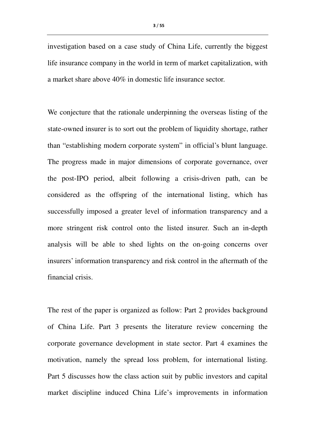investigation based on a case study of China Life, currently the biggest life insurance company in the world in term of market capitalization, with a market share above 40% in domestic life insurance sector.

We conjecture that the rationale underpinning the overseas listing of the state-owned insurer is to sort out the problem of liquidity shortage, rather than "establishing modern corporate system" in official's blunt language. The progress made in major dimensions of corporate governance, over the post-IPO period, albeit following a crisis-driven path, can be considered as the offspring of the international listing, which has successfully imposed a greater level of information transparency and a more stringent risk control onto the listed insurer. Such an in-depth analysis will be able to shed lights on the on-going concerns over insurers' information transparency and risk control in the aftermath of the financial crisis.

The rest of the paper is organized as follow: Part 2 provides background of China Life. Part 3 presents the literature review concerning the corporate governance development in state sector. Part 4 examines the motivation, namely the spread loss problem, for international listing. Part 5 discusses how the class action suit by public investors and capital market discipline induced China Life's improvements in information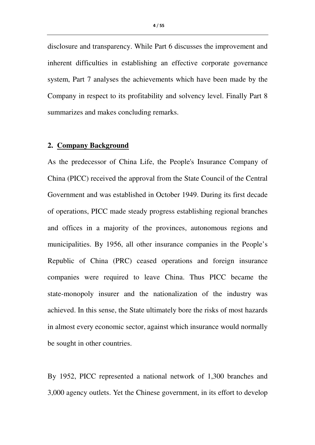disclosure and transparency. While Part 6 discusses the improvement and inherent difficulties in establishing an effective corporate governance system, Part 7 analyses the achievements which have been made by the Company in respect to its profitability and solvency level. Finally Part 8 summarizes and makes concluding remarks.

#### **2. Company Background**

As the predecessor of China Life, the People's Insurance Company of China (PICC) received the approval from the State Council of the Central Government and was established in October 1949. During its first decade of operations, PICC made steady progress establishing regional branches and offices in a majority of the provinces, autonomous regions and municipalities. By 1956, all other insurance companies in the People's Republic of China (PRC) ceased operations and foreign insurance companies were required to leave China. Thus PICC became the state-monopoly insurer and the nationalization of the industry was achieved. In this sense, the State ultimately bore the risks of most hazards in almost every economic sector, against which insurance would normally be sought in other countries.

By 1952, PICC represented a national network of 1,300 branches and 3,000 agency outlets. Yet the Chinese government, in its effort to develop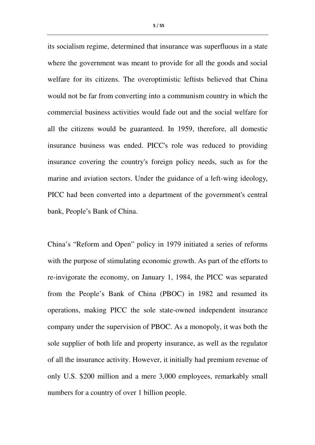its socialism regime, determined that insurance was superfluous in a state where the government was meant to provide for all the goods and social welfare for its citizens. The overoptimistic leftists believed that China would not be far from converting into a communism country in which the commercial business activities would fade out and the social welfare for all the citizens would be guaranteed. In 1959, therefore, all domestic insurance business was ended. PICC's role was reduced to providing insurance covering the country's foreign policy needs, such as for the marine and aviation sectors. Under the guidance of a left-wing ideology, PICC had been converted into a department of the government's central bank, People's Bank of China.

China's "Reform and Open" policy in 1979 initiated a series of reforms with the purpose of stimulating economic growth. As part of the efforts to re-invigorate the economy, on January 1, 1984, the PICC was separated from the People's Bank of China (PBOC) in 1982 and resumed its operations, making PICC the sole state-owned independent insurance company under the supervision of PBOC. As a monopoly, it was both the sole supplier of both life and property insurance, as well as the regulator of all the insurance activity. However, it initially had premium revenue of only U.S. \$200 million and a mere 3,000 employees, remarkably small numbers for a country of over 1 billion people.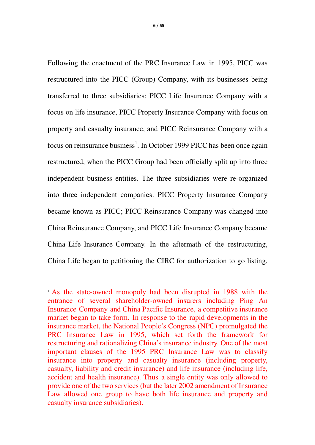6 / 55

Following the enactment of the PRC Insurance Law in 1995, PICC was restructured into the PICC (Group) Company, with its businesses being transferred to three subsidiaries: PICC Life Insurance Company with a focus on life insurance, PICC Property Insurance Company with focus on property and casualty insurance, and PICC Reinsurance Company with a focus on reinsurance business<sup>1</sup>. In October 1999 PICC has been once again restructured, when the PICC Group had been officially split up into three independent business entities. The three subsidiaries were re-organized into three independent companies: PICC Property Insurance Company became known as PICC; PICC Reinsurance Company was changed into China Reinsurance Company, and PICC Life Insurance Company became China Life Insurance Company. In the aftermath of the restructuring, China Life began to petitioning the CIRC for authorization to go listing,

l

<sup>1</sup> As the state-owned monopoly had been disrupted in 1988 with the entrance of several shareholder-owned insurers including Ping An Insurance Company and China Pacific Insurance, a competitive insurance market began to take form. In response to the rapid developments in the insurance market, the National People's Congress (NPC) promulgated the PRC Insurance Law in 1995, which set forth the framework for restructuring and rationalizing China's insurance industry. One of the most important clauses of the 1995 PRC Insurance Law was to classify insurance into property and casualty insurance (including property, casualty, liability and credit insurance) and life insurance (including life, accident and health insurance). Thus a single entity was only allowed to provide one of the two services (but the later 2002 amendment of Insurance Law allowed one group to have both life insurance and property and casualty insurance subsidiaries).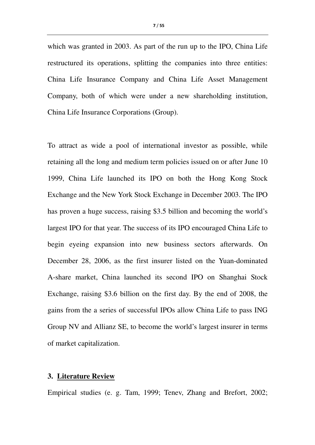which was granted in 2003. As part of the run up to the IPO, China Life restructured its operations, splitting the companies into three entities: China Life Insurance Company and China Life Asset Management Company, both of which were under a new shareholding institution, China Life Insurance Corporations (Group).

To attract as wide a pool of international investor as possible, while retaining all the long and medium term policies issued on or after June 10 1999, China Life launched its IPO on both the Hong Kong Stock Exchange and the New York Stock Exchange in December 2003. The IPO has proven a huge success, raising \$3.5 billion and becoming the world's largest IPO for that year. The success of its IPO encouraged China Life to begin eyeing expansion into new business sectors afterwards. On December 28, 2006, as the first insurer listed on the Yuan-dominated A-share market, China launched its second IPO on Shanghai Stock Exchange, raising \$3.6 billion on the first day. By the end of 2008, the gains from the a series of successful IPOs allow China Life to pass ING Group NV and Allianz SE, to become the world's largest insurer in terms of market capitalization.

### **3. Literature Review**

Empirical studies (e. g. Tam, 1999; Tenev, Zhang and Brefort, 2002;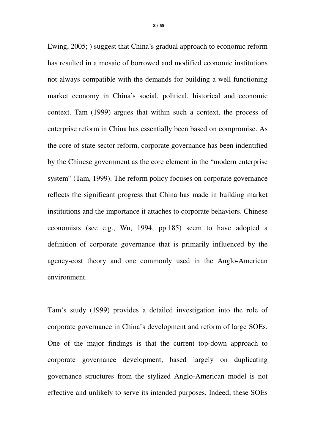Ewing, 2005; ) suggest that China's gradual approach to economic reform has resulted in a mosaic of borrowed and modified economic institutions not always compatible with the demands for building a well functioning market economy in China's social, political, historical and economic context. Tam (1999) argues that within such a context, the process of enterprise reform in China has essentially been based on compromise. As the core of state sector reform, corporate governance has been indentified by the Chinese government as the core element in the "modern enterprise system" (Tam, 1999). The reform policy focuses on corporate governance reflects the significant progress that China has made in building market institutions and the importance it attaches to corporate behaviors. Chinese economists (see e.g., Wu, 1994, pp.185) seem to have adopted a definition of corporate governance that is primarily influenced by the agency-cost theory and one commonly used in the Anglo-American environment.

Tam's study (1999) provides a detailed investigation into the role of corporate governance in China's development and reform of large SOEs. One of the major findings is that the current top-down approach to corporate governance development, based largely on duplicating governance structures from the stylized Anglo-American model is not effective and unlikely to serve its intended purposes. Indeed, these SOEs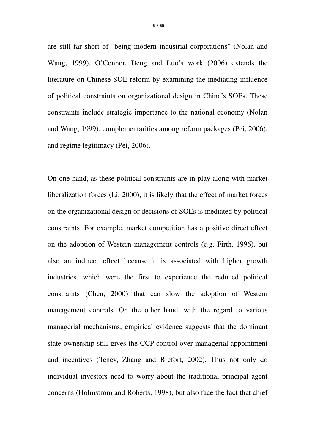are still far short of "being modern industrial corporations" (Nolan and Wang, 1999). O'Connor, Deng and Luo's work (2006) extends the literature on Chinese SOE reform by examining the mediating influence of political constraints on organizational design in China's SOEs. These constraints include strategic importance to the national economy (Nolan and Wang, 1999), complementarities among reform packages (Pei, 2006), and regime legitimacy (Pei, 2006).

On one hand, as these political constraints are in play along with market liberalization forces (Li, 2000), it is likely that the effect of market forces on the organizational design or decisions of SOEs is mediated by political constraints. For example, market competition has a positive direct effect on the adoption of Western management controls (e.g. Firth, 1996), but also an indirect effect because it is associated with higher growth industries, which were the first to experience the reduced political constraints (Chen, 2000) that can slow the adoption of Western management controls. On the other hand, with the regard to various managerial mechanisms, empirical evidence suggests that the dominant state ownership still gives the CCP control over managerial appointment and incentives (Tenev, Zhang and Brefort, 2002). Thus not only do individual investors need to worry about the traditional principal agent concerns (Holmstrom and Roberts, 1998), but also face the fact that chief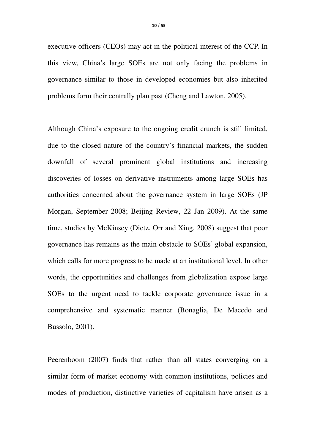executive officers (CEOs) may act in the political interest of the CCP. In this view, China's large SOEs are not only facing the problems in governance similar to those in developed economies but also inherited problems form their centrally plan past (Cheng and Lawton, 2005).

Although China's exposure to the ongoing credit crunch is still limited, due to the closed nature of the country's financial markets, the sudden downfall of several prominent global institutions and increasing discoveries of losses on derivative instruments among large SOEs has authorities concerned about the governance system in large SOEs (JP Morgan, September 2008; Beijing Review, 22 Jan 2009). At the same time, studies by McKinsey (Dietz, Orr and Xing, 2008) suggest that poor governance has remains as the main obstacle to SOEs' global expansion, which calls for more progress to be made at an institutional level. In other words, the opportunities and challenges from globalization expose large SOEs to the urgent need to tackle corporate governance issue in a comprehensive and systematic manner (Bonaglia, De Macedo and Bussolo, 2001).

Peerenboom (2007) finds that rather than all states converging on a similar form of market economy with common institutions, policies and modes of production, distinctive varieties of capitalism have arisen as a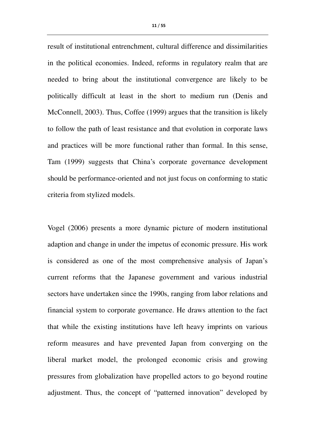result of institutional entrenchment, cultural difference and dissimilarities in the political economies. Indeed, reforms in regulatory realm that are needed to bring about the institutional convergence are likely to be politically difficult at least in the short to medium run (Denis and McConnell, 2003). Thus, Coffee (1999) argues that the transition is likely to follow the path of least resistance and that evolution in corporate laws and practices will be more functional rather than formal. In this sense, Tam (1999) suggests that China's corporate governance development should be performance-oriented and not just focus on conforming to static criteria from stylized models.

Vogel (2006) presents a more dynamic picture of modern institutional adaption and change in under the impetus of economic pressure. His work is considered as one of the most comprehensive analysis of Japan's current reforms that the Japanese government and various industrial sectors have undertaken since the 1990s, ranging from labor relations and financial system to corporate governance. He draws attention to the fact that while the existing institutions have left heavy imprints on various reform measures and have prevented Japan from converging on the liberal market model, the prolonged economic crisis and growing pressures from globalization have propelled actors to go beyond routine adjustment. Thus, the concept of "patterned innovation" developed by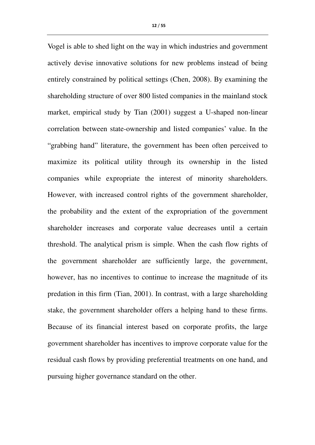Vogel is able to shed light on the way in which industries and government actively devise innovative solutions for new problems instead of being entirely constrained by political settings (Chen, 2008). By examining the shareholding structure of over 800 listed companies in the mainland stock market, empirical study by Tian (2001) suggest a U-shaped non-linear correlation between state-ownership and listed companies' value. In the "grabbing hand" literature, the government has been often perceived to maximize its political utility through its ownership in the listed companies while expropriate the interest of minority shareholders. However, with increased control rights of the government shareholder, the probability and the extent of the expropriation of the government shareholder increases and corporate value decreases until a certain threshold. The analytical prism is simple. When the cash flow rights of the government shareholder are sufficiently large, the government, however, has no incentives to continue to increase the magnitude of its predation in this firm (Tian, 2001). In contrast, with a large shareholding stake, the government shareholder offers a helping hand to these firms. Because of its financial interest based on corporate profits, the large government shareholder has incentives to improve corporate value for the residual cash flows by providing preferential treatments on one hand, and pursuing higher governance standard on the other.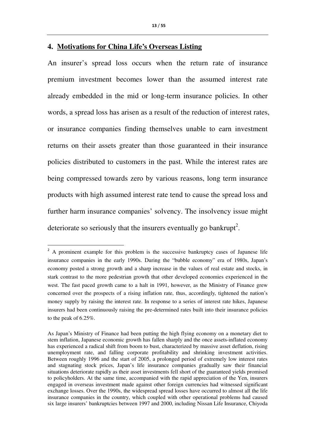#### **4. Motivations for China Life's Overseas Listing**

 $\overline{\phantom{a}}$ 

An insurer's spread loss occurs when the return rate of insurance premium investment becomes lower than the assumed interest rate already embedded in the mid or long-term insurance policies. In other words, a spread loss has arisen as a result of the reduction of interest rates, or insurance companies finding themselves unable to earn investment returns on their assets greater than those guaranteed in their insurance policies distributed to customers in the past. While the interest rates are being compressed towards zero by various reasons, long term insurance products with high assumed interest rate tend to cause the spread loss and further harm insurance companies' solvency. The insolvency issue might deteriorate so seriously that the insurers eventually go bankrupt<sup>2</sup>.

<sup>&</sup>lt;sup>2</sup> A prominent example for this problem is the successive bankruptcy cases of Japanese life insurance companies in the early 1990s. During the "bubble economy" era of 1980s, Japan's economy posted a strong growth and a sharp increase in the values of real estate and stocks, in stark contrast to the more pedestrian growth that other developed economies experienced in the west. The fast paced growth came to a halt in 1991, however, as the Ministry of Finance grew concerned over the prospects of a rising inflation rate, thus, accordingly, tightened the nation's money supply by raising the interest rate. In response to a series of interest rate hikes, Japanese insurers had been continuously raising the pre-determined rates built into their insurance policies to the peak of 6.25%.

As Japan's Ministry of Finance had been putting the high flying economy on a monetary diet to stem inflation, Japanese economic growth has fallen sharply and the once assets-inflated economy has experienced a radical shift from boom to bust, characterized by massive asset deflation, rising unemployment rate, and falling corporate profitability and shrinking investment activities. Between roughly 1996 and the start of 2005, a prolonged period of extremely low interest rates and stagnating stock prices, Japan's life insurance companies gradually saw their financial situations deteriorate rapidly as their asset investments fell short of the guaranteed yields promised to policyholders. At the same time, accompanied with the rapid appreciation of the Yen, insurers engaged in overseas investment made against other foreign currencies had witnessed significant exchange losses. Over the 1990s, the widespread spread losses have occurred to almost all the life insurance companies in the country, which coupled with other operational problems had caused six large insurers' bankruptcies between 1997 and 2000, including Nissan Life Insurance, Chiyoda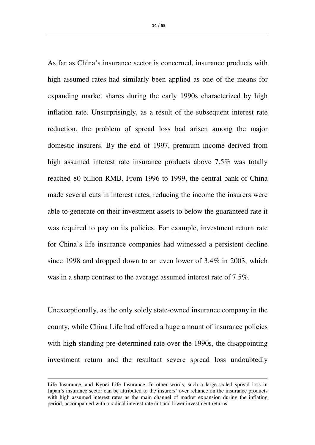As far as China's insurance sector is concerned, insurance products with high assumed rates had similarly been applied as one of the means for expanding market shares during the early 1990s characterized by high inflation rate. Unsurprisingly, as a result of the subsequent interest rate reduction, the problem of spread loss had arisen among the major domestic insurers. By the end of 1997, premium income derived from high assumed interest rate insurance products above 7.5% was totally reached 80 billion RMB. From 1996 to 1999, the central bank of China made several cuts in interest rates, reducing the income the insurers were able to generate on their investment assets to below the guaranteed rate it was required to pay on its policies. For example, investment return rate for China's life insurance companies had witnessed a persistent decline since 1998 and dropped down to an even lower of 3.4% in 2003, which was in a sharp contrast to the average assumed interest rate of 7.5%.

Unexceptionally, as the only solely state-owned insurance company in the county, while China Life had offered a huge amount of insurance policies with high standing pre-determined rate over the 1990s, the disappointing investment return and the resultant severe spread loss undoubtedly

 $\overline{\phantom{a}}$ 

Life Insurance, and Kyoei Life Insurance. In other words, such a large-scaled spread loss in Japan's insurance sector can be attributed to the insurers' over reliance on the insurance products with high assumed interest rates as the main channel of market expansion during the inflating period, accompanied with a radical interest rate cut and lower investment returns.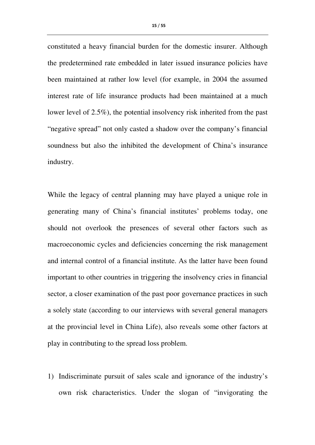constituted a heavy financial burden for the domestic insurer. Although the predetermined rate embedded in later issued insurance policies have been maintained at rather low level (for example, in 2004 the assumed interest rate of life insurance products had been maintained at a much lower level of 2.5%), the potential insolvency risk inherited from the past "negative spread" not only casted a shadow over the company's financial soundness but also the inhibited the development of China's insurance industry.

While the legacy of central planning may have played a unique role in generating many of China's financial institutes' problems today, one should not overlook the presences of several other factors such as macroeconomic cycles and deficiencies concerning the risk management and internal control of a financial institute. As the latter have been found important to other countries in triggering the insolvency cries in financial sector, a closer examination of the past poor governance practices in such a solely state (according to our interviews with several general managers at the provincial level in China Life), also reveals some other factors at play in contributing to the spread loss problem.

1) Indiscriminate pursuit of sales scale and ignorance of the industry's own risk characteristics. Under the slogan of "invigorating the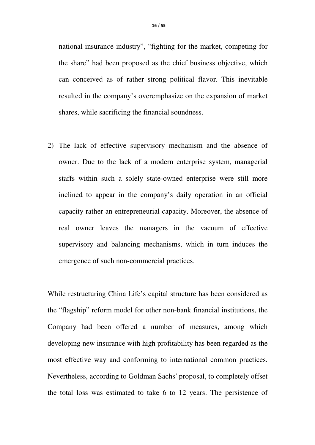national insurance industry", "fighting for the market, competing for the share" had been proposed as the chief business objective, which can conceived as of rather strong political flavor. This inevitable resulted in the company's overemphasize on the expansion of market shares, while sacrificing the financial soundness.

2) The lack of effective supervisory mechanism and the absence of owner. Due to the lack of a modern enterprise system, managerial staffs within such a solely state-owned enterprise were still more inclined to appear in the company's daily operation in an official capacity rather an entrepreneurial capacity. Moreover, the absence of real owner leaves the managers in the vacuum of effective supervisory and balancing mechanisms, which in turn induces the emergence of such non-commercial practices.

While restructuring China Life's capital structure has been considered as the "flagship" reform model for other non-bank financial institutions, the Company had been offered a number of measures, among which developing new insurance with high profitability has been regarded as the most effective way and conforming to international common practices. Nevertheless, according to Goldman Sachs' proposal, to completely offset the total loss was estimated to take 6 to 12 years. The persistence of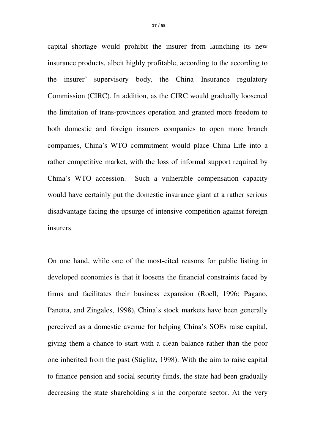capital shortage would prohibit the insurer from launching its new insurance products, albeit highly profitable, according to the according to the insurer' supervisory body, the China Insurance regulatory Commission (CIRC). In addition, as the CIRC would gradually loosened the limitation of trans-provinces operation and granted more freedom to both domestic and foreign insurers companies to open more branch companies, China's WTO commitment would place China Life into a rather competitive market, with the loss of informal support required by China's WTO accession. Such a vulnerable compensation capacity would have certainly put the domestic insurance giant at a rather serious disadvantage facing the upsurge of intensive competition against foreign insurers.

On one hand, while one of the most-cited reasons for public listing in developed economies is that it loosens the financial constraints faced by firms and facilitates their business expansion (Roell, 1996; Pagano, Panetta, and Zingales, 1998), China's stock markets have been generally perceived as a domestic avenue for helping China's SOEs raise capital, giving them a chance to start with a clean balance rather than the poor one inherited from the past (Stiglitz, 1998). With the aim to raise capital to finance pension and social security funds, the state had been gradually decreasing the state shareholding s in the corporate sector. At the very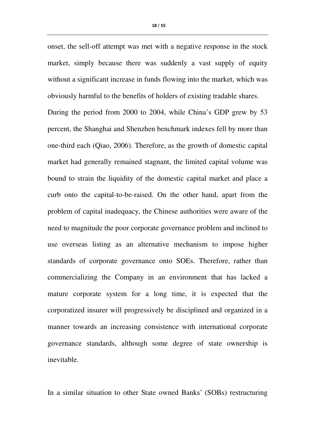onset, the sell-off attempt was met with a negative response in the stock market, simply because there was suddenly a vast supply of equity without a significant increase in funds flowing into the market, which was obviously harmful to the benefits of holders of existing tradable shares.

During the period from 2000 to 2004, while China's GDP grew by 53 percent, the Shanghai and Shenzhen benchmark indexes fell by more than one-third each (Qiao, 2006). Therefore, as the growth of domestic capital market had generally remained stagnant, the limited capital volume was bound to strain the liquidity of the domestic capital market and place a curb onto the capital-to-be-raised. On the other hand, apart from the problem of capital inadequacy, the Chinese authorities were aware of the need to magnitude the poor corporate governance problem and inclined to use overseas listing as an alternative mechanism to impose higher standards of corporate governance onto SOEs. Therefore, rather than commercializing the Company in an environment that has lacked a mature corporate system for a long time, it is expected that the corporatized insurer will progressively be disciplined and organized in a manner towards an increasing consistence with international corporate governance standards, although some degree of state ownership is inevitable.

In a similar situation to other State owned Banks' (SOBs) restructuring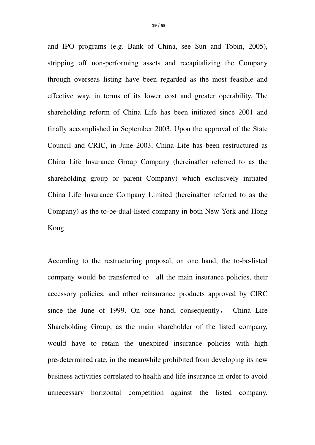and IPO programs (e.g. Bank of China, see Sun and Tobin, 2005), stripping off non-performing assets and recapitalizing the Company through overseas listing have been regarded as the most feasible and effective way, in terms of its lower cost and greater operability. The shareholding reform of China Life has been initiated since 2001 and finally accomplished in September 2003. Upon the approval of the State Council and CRIC, in June 2003, China Life has been restructured as China Life Insurance Group Company (hereinafter referred to as the shareholding group or parent Company) which exclusively initiated China Life Insurance Company Limited (hereinafter referred to as the Company) as the to-be-dual-listed company in both New York and Hong Kong.

According to the restructuring proposal, on one hand, the to-be-listed company would be transferred to all the main insurance policies, their accessory policies, and other reinsurance products approved by CIRC since the June of 1999. On one hand, consequently, China Life Shareholding Group, as the main shareholder of the listed company, would have to retain the unexpired insurance policies with high pre-determined rate, in the meanwhile prohibited from developing its new business activities correlated to health and life insurance in order to avoid unnecessary horizontal competition against the listed company.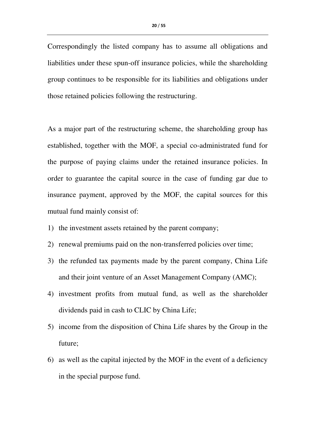Correspondingly the listed company has to assume all obligations and liabilities under these spun-off insurance policies, while the shareholding group continues to be responsible for its liabilities and obligations under those retained policies following the restructuring.

As a major part of the restructuring scheme, the shareholding group has established, together with the MOF, a special co-administrated fund for the purpose of paying claims under the retained insurance policies. In order to guarantee the capital source in the case of funding gar due to insurance payment, approved by the MOF, the capital sources for this mutual fund mainly consist of:

- 1) the investment assets retained by the parent company;
- 2) renewal premiums paid on the non-transferred policies over time;
- 3) the refunded tax payments made by the parent company, China Life and their joint venture of an Asset Management Company (AMC);
- 4) investment profits from mutual fund, as well as the shareholder dividends paid in cash to CLIC by China Life;
- 5) income from the disposition of China Life shares by the Group in the future;
- 6) as well as the capital injected by the MOF in the event of a deficiency in the special purpose fund.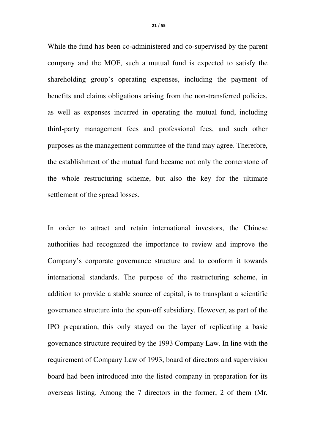While the fund has been co-administered and co-supervised by the parent company and the MOF, such a mutual fund is expected to satisfy the

shareholding group's operating expenses, including the payment of benefits and claims obligations arising from the non-transferred policies, as well as expenses incurred in operating the mutual fund, including third-party management fees and professional fees, and such other purposes as the management committee of the fund may agree. Therefore, the establishment of the mutual fund became not only the cornerstone of the whole restructuring scheme, but also the key for the ultimate settlement of the spread losses.

In order to attract and retain international investors, the Chinese authorities had recognized the importance to review and improve the Company's corporate governance structure and to conform it towards international standards. The purpose of the restructuring scheme, in addition to provide a stable source of capital, is to transplant a scientific governance structure into the spun-off subsidiary. However, as part of the IPO preparation, this only stayed on the layer of replicating a basic governance structure required by the 1993 Company Law. In line with the requirement of Company Law of 1993, board of directors and supervision board had been introduced into the listed company in preparation for its overseas listing. Among the 7 directors in the former, 2 of them (Mr.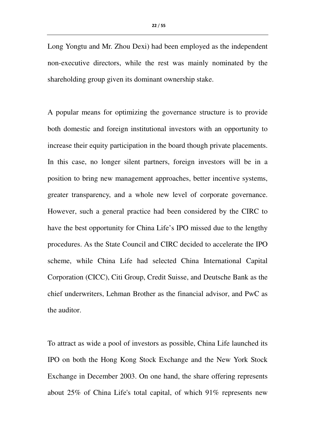Long Yongtu and Mr. Zhou Dexi) had been employed as the independent non-executive directors, while the rest was mainly nominated by the shareholding group given its dominant ownership stake.

A popular means for optimizing the governance structure is to provide both domestic and foreign institutional investors with an opportunity to increase their equity participation in the board though private placements. In this case, no longer silent partners, foreign investors will be in a position to bring new management approaches, better incentive systems, greater transparency, and a whole new level of corporate governance. However, such a general practice had been considered by the CIRC to have the best opportunity for China Life's IPO missed due to the lengthy procedures. As the State Council and CIRC decided to accelerate the IPO scheme, while China Life had selected China International Capital Corporation (CICC), Citi Group, Credit Suisse, and Deutsche Bank as the chief underwriters, Lehman Brother as the financial advisor, and PwC as the auditor.

To attract as wide a pool of investors as possible, China Life launched its IPO on both the Hong Kong Stock Exchange and the New York Stock Exchange in December 2003. On one hand, the share offering represents about 25% of China Life's total capital, of which 91% represents new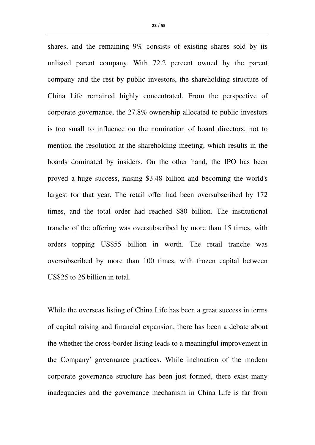shares, and the remaining 9% consists of existing shares sold by its unlisted parent company. With 72.2 percent owned by the parent company and the rest by public investors, the shareholding structure of China Life remained highly concentrated. From the perspective of corporate governance, the 27.8% ownership allocated to public investors is too small to influence on the nomination of board directors, not to mention the resolution at the shareholding meeting, which results in the boards dominated by insiders. On the other hand, the IPO has been proved a huge success, raising \$3.48 billion and becoming the world's largest for that year. The retail offer had been oversubscribed by 172 times, and the total order had reached \$80 billion. The institutional tranche of the offering was oversubscribed by more than 15 times, with orders topping US\$55 billion in worth. The retail tranche was oversubscribed by more than 100 times, with frozen capital between US\$25 to 26 billion in total.

While the overseas listing of China Life has been a great success in terms of capital raising and financial expansion, there has been a debate about the whether the cross-border listing leads to a meaningful improvement in the Company' governance practices. While inchoation of the modern corporate governance structure has been just formed, there exist many inadequacies and the governance mechanism in China Life is far from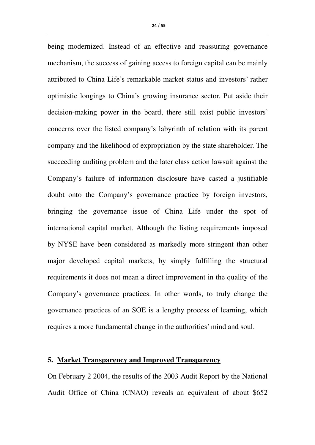being modernized. Instead of an effective and reassuring governance mechanism, the success of gaining access to foreign capital can be mainly attributed to China Life's remarkable market status and investors' rather optimistic longings to China's growing insurance sector. Put aside their decision-making power in the board, there still exist public investors' concerns over the listed company's labyrinth of relation with its parent company and the likelihood of expropriation by the state shareholder. The succeeding auditing problem and the later class action lawsuit against the Company's failure of information disclosure have casted a justifiable doubt onto the Company's governance practice by foreign investors, bringing the governance issue of China Life under the spot of international capital market. Although the listing requirements imposed by NYSE have been considered as markedly more stringent than other major developed capital markets, by simply fulfilling the structural requirements it does not mean a direct improvement in the quality of the Company's governance practices. In other words, to truly change the governance practices of an SOE is a lengthy process of learning, which requires a more fundamental change in the authorities' mind and soul.

#### **5. Market Transparency and Improved Transparency**

On February 2 2004, the results of the 2003 Audit Report by the National Audit Office of China (CNAO) reveals an equivalent of about \$652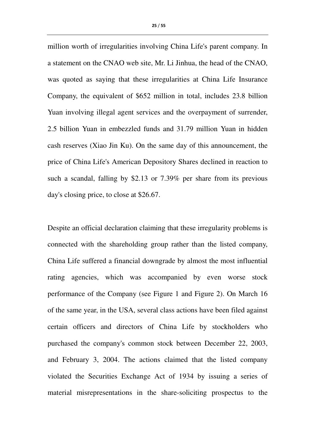million worth of irregularities involving China Life's parent company. In a statement on the CNAO web site, Mr. Li Jinhua, the head of the CNAO, was quoted as saying that these irregularities at China Life Insurance Company, the equivalent of \$652 million in total, includes 23.8 billion Yuan involving illegal agent services and the overpayment of surrender, 2.5 billion Yuan in embezzled funds and 31.79 million Yuan in hidden cash reserves (Xiao Jin Ku). On the same day of this announcement, the price of China Life's American Depository Shares declined in reaction to such a scandal, falling by \$2.13 or 7.39% per share from its previous day's closing price, to close at \$26.67.

Despite an official declaration claiming that these irregularity problems is connected with the shareholding group rather than the listed company, China Life suffered a financial downgrade by almost the most influential rating agencies, which was accompanied by even worse stock performance of the Company (see Figure 1 and Figure 2). On March 16 of the same year, in the USA, several class actions have been filed against certain officers and directors of China Life by stockholders who purchased the company's common stock between December 22, 2003, and February 3, 2004. The actions claimed that the listed company violated the Securities Exchange Act of 1934 by issuing a series of material misrepresentations in the share-soliciting prospectus to the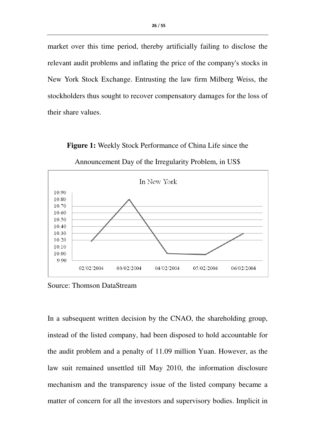market over this time period, thereby artificially failing to disclose the relevant audit problems and inflating the price of the company's stocks in New York Stock Exchange. Entrusting the law firm Milberg Weiss, the stockholders thus sought to recover compensatory damages for the loss of their share values.

Announcement Day of the Irregularity Problem, in US\$ In New York 10.90 10.80 10.70 10.60 10.50 10.40 10.30 10.20 10.10 10.00  $0.90$ 02/02/2004 03/02/2004 04/02/2004 05/02/2004 06/02/2004

**Figure 1:** Weekly Stock Performance of China Life since the

Source: Thomson DataStream

In a subsequent written decision by the CNAO, the shareholding group, instead of the listed company, had been disposed to hold accountable for the audit problem and a penalty of 11.09 million Yuan. However, as the law suit remained unsettled till May 2010, the information disclosure mechanism and the transparency issue of the listed company became a matter of concern for all the investors and supervisory bodies. Implicit in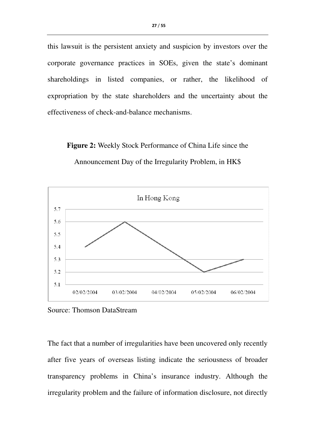this lawsuit is the persistent anxiety and suspicion by investors over the corporate governance practices in SOEs, given the state's dominant shareholdings in listed companies, or rather, the likelihood of expropriation by the state shareholders and the uncertainty about the effectiveness of check-and-balance mechanisms.

**Figure 2:** Weekly Stock Performance of China Life since the



Announcement Day of the Irregularity Problem, in HK\$

Source: Thomson DataStream

The fact that a number of irregularities have been uncovered only recently after five years of overseas listing indicate the seriousness of broader transparency problems in China's insurance industry. Although the irregularity problem and the failure of information disclosure, not directly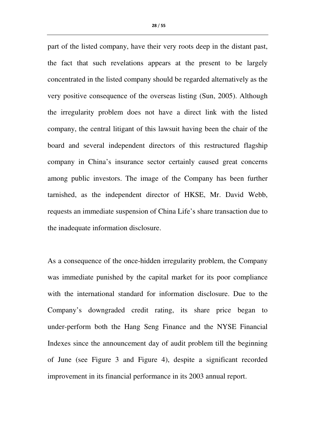part of the listed company, have their very roots deep in the distant past, the fact that such revelations appears at the present to be largely concentrated in the listed company should be regarded alternatively as the very positive consequence of the overseas listing (Sun, 2005). Although the irregularity problem does not have a direct link with the listed company, the central litigant of this lawsuit having been the chair of the board and several independent directors of this restructured flagship company in China's insurance sector certainly caused great concerns among public investors. The image of the Company has been further tarnished, as the independent director of HKSE, Mr. David Webb, requests an immediate suspension of China Life's share transaction due to the inadequate information disclosure.

As a consequence of the once-hidden irregularity problem, the Company was immediate punished by the capital market for its poor compliance with the international standard for information disclosure. Due to the Company's downgraded credit rating, its share price began to under-perform both the Hang Seng Finance and the NYSE Financial Indexes since the announcement day of audit problem till the beginning of June (see Figure 3 and Figure 4), despite a significant recorded improvement in its financial performance in its 2003 annual report.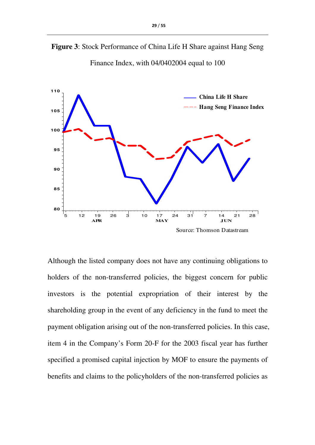



Finance Index, with 04/0402004 equal to 100

Although the listed company does not have any continuing obligations to holders of the non-transferred policies, the biggest concern for public investors is the potential expropriation of their interest by the shareholding group in the event of any deficiency in the fund to meet the payment obligation arising out of the non-transferred policies. In this case, item 4 in the Company's Form 20-F for the 2003 fiscal year has further specified a promised capital injection by MOF to ensure the payments of benefits and claims to the policyholders of the non-transferred policies as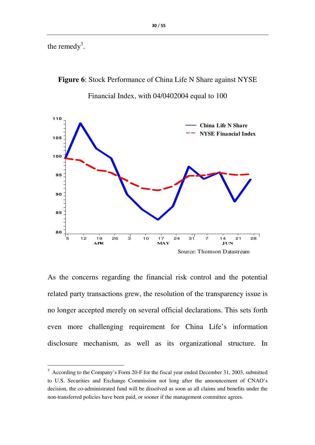the remedy<sup>3</sup>.

 $\overline{\phantom{a}}$ 

**Figure 6**: Stock Performance of China Life N Share against NYSE Financial Index, with 04/0402004 equal to 100



As the concerns regarding the financial risk control and the potential related party transactions grew, the resolution of the transparency issue is no longer accepted merely on several official declarations. This sets forth even more challenging requirement for China Life's information disclosure mechanism, as well as its organizational structure. In

 $3$  According to the Company's Form 20-F for the fiscal year ended December 31, 2003, submitted to U.S. Securities and Exchange Commission not long after the announcement of CNAO's decision, the co-administrated fund will be dissolved as soon as all claims and benefits under the non-transferred policies have been paid, or sooner if the management committee agrees.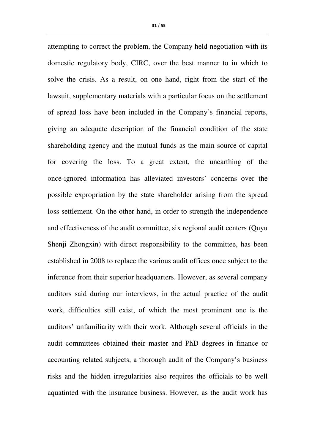attempting to correct the problem, the Company held negotiation with its domestic regulatory body, CIRC, over the best manner to in which to solve the crisis. As a result, on one hand, right from the start of the lawsuit, supplementary materials with a particular focus on the settlement of spread loss have been included in the Company's financial reports, giving an adequate description of the financial condition of the state shareholding agency and the mutual funds as the main source of capital for covering the loss. To a great extent, the unearthing of the once-ignored information has alleviated investors' concerns over the possible expropriation by the state shareholder arising from the spread loss settlement. On the other hand, in order to strength the independence and effectiveness of the audit committee, six regional audit centers (Quyu Shenji Zhongxin) with direct responsibility to the committee, has been established in 2008 to replace the various audit offices once subject to the inference from their superior headquarters. However, as several company auditors said during our interviews, in the actual practice of the audit work, difficulties still exist, of which the most prominent one is the auditors' unfamiliarity with their work. Although several officials in the audit committees obtained their master and PhD degrees in finance or accounting related subjects, a thorough audit of the Company's business risks and the hidden irregularities also requires the officials to be well aquatinted with the insurance business. However, as the audit work has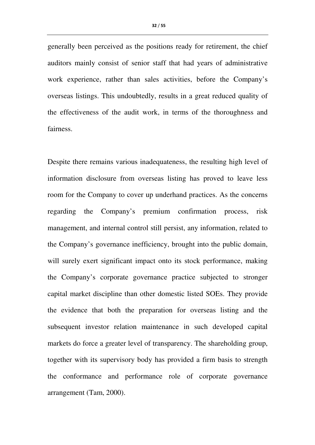generally been perceived as the positions ready for retirement, the chief auditors mainly consist of senior staff that had years of administrative work experience, rather than sales activities, before the Company's overseas listings. This undoubtedly, results in a great reduced quality of the effectiveness of the audit work, in terms of the thoroughness and fairness.

Despite there remains various inadequateness, the resulting high level of information disclosure from overseas listing has proved to leave less room for the Company to cover up underhand practices. As the concerns regarding the Company's premium confirmation process, risk management, and internal control still persist, any information, related to the Company's governance inefficiency, brought into the public domain, will surely exert significant impact onto its stock performance, making the Company's corporate governance practice subjected to stronger capital market discipline than other domestic listed SOEs. They provide the evidence that both the preparation for overseas listing and the subsequent investor relation maintenance in such developed capital markets do force a greater level of transparency. The shareholding group, together with its supervisory body has provided a firm basis to strength the conformance and performance role of corporate governance arrangement (Tam, 2000).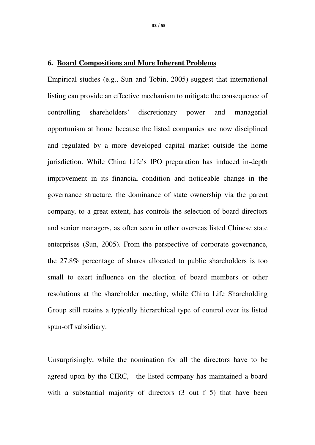#### **6. Board Compositions and More Inherent Problems**

Empirical studies (e.g., Sun and Tobin, 2005) suggest that international listing can provide an effective mechanism to mitigate the consequence of controlling shareholders' discretionary power and managerial opportunism at home because the listed companies are now disciplined and regulated by a more developed capital market outside the home jurisdiction. While China Life's IPO preparation has induced in-depth improvement in its financial condition and noticeable change in the governance structure, the dominance of state ownership via the parent company, to a great extent, has controls the selection of board directors and senior managers, as often seen in other overseas listed Chinese state enterprises (Sun, 2005). From the perspective of corporate governance, the 27.8% percentage of shares allocated to public shareholders is too small to exert influence on the election of board members or other resolutions at the shareholder meeting, while China Life Shareholding Group still retains a typically hierarchical type of control over its listed spun-off subsidiary.

Unsurprisingly, while the nomination for all the directors have to be agreed upon by the CIRC, the listed company has maintained a board with a substantial majority of directors (3 out f 5) that have been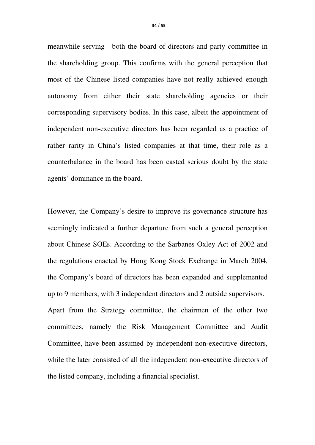meanwhile serving both the board of directors and party committee in the shareholding group. This confirms with the general perception that most of the Chinese listed companies have not really achieved enough autonomy from either their state shareholding agencies or their corresponding supervisory bodies. In this case, albeit the appointment of independent non-executive directors has been regarded as a practice of rather rarity in China's listed companies at that time, their role as a counterbalance in the board has been casted serious doubt by the state agents' dominance in the board.

However, the Company's desire to improve its governance structure has seemingly indicated a further departure from such a general perception about Chinese SOEs. According to the Sarbanes Oxley Act of 2002 and the regulations enacted by Hong Kong Stock Exchange in March 2004, the Company's board of directors has been expanded and supplemented up to 9 members, with 3 independent directors and 2 outside supervisors. Apart from the Strategy committee, the chairmen of the other two committees, namely the Risk Management Committee and Audit Committee, have been assumed by independent non-executive directors, while the later consisted of all the independent non-executive directors of the listed company, including a financial specialist.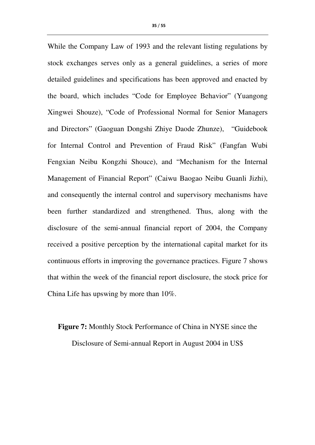While the Company Law of 1993 and the relevant listing regulations by stock exchanges serves only as a general guidelines, a series of more detailed guidelines and specifications has been approved and enacted by the board, which includes "Code for Employee Behavior" (Yuangong Xingwei Shouze), "Code of Professional Normal for Senior Managers and Directors" (Gaoguan Dongshi Zhiye Daode Zhunze), "Guidebook for Internal Control and Prevention of Fraud Risk" (Fangfan Wubi Fengxian Neibu Kongzhi Shouce), and "Mechanism for the Internal Management of Financial Report" (Caiwu Baogao Neibu Guanli Jizhi), and consequently the internal control and supervisory mechanisms have been further standardized and strengthened. Thus, along with the disclosure of the semi-annual financial report of 2004, the Company received a positive perception by the international capital market for its continuous efforts in improving the governance practices. Figure 7 shows that within the week of the financial report disclosure, the stock price for China Life has upswing by more than 10%.

# **Figure 7:** Monthly Stock Performance of China in NYSE since the Disclosure of Semi-annual Report in August 2004 in US\$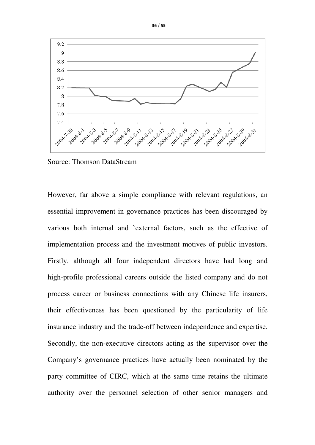

Source: Thomson DataStream

However, far above a simple compliance with relevant regulations, an essential improvement in governance practices has been discouraged by various both internal and `external factors, such as the effective of implementation process and the investment motives of public investors. Firstly, although all four independent directors have had long and high-profile professional careers outside the listed company and do not process career or business connections with any Chinese life insurers, their effectiveness has been questioned by the particularity of life insurance industry and the trade-off between independence and expertise. Secondly, the non-executive directors acting as the supervisor over the Company's governance practices have actually been nominated by the party committee of CIRC, which at the same time retains the ultimate authority over the personnel selection of other senior managers and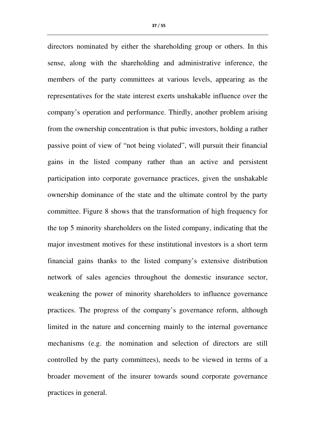directors nominated by either the shareholding group or others. In this sense, along with the shareholding and administrative inference, the members of the party committees at various levels, appearing as the representatives for the state interest exerts unshakable influence over the company's operation and performance. Thirdly, another problem arising from the ownership concentration is that pubic investors, holding a rather passive point of view of "not being violated", will pursuit their financial gains in the listed company rather than an active and persistent participation into corporate governance practices, given the unshakable ownership dominance of the state and the ultimate control by the party committee. Figure 8 shows that the transformation of high frequency for the top 5 minority shareholders on the listed company, indicating that the major investment motives for these institutional investors is a short term financial gains thanks to the listed company's extensive distribution network of sales agencies throughout the domestic insurance sector, weakening the power of minority shareholders to influence governance practices. The progress of the company's governance reform, although limited in the nature and concerning mainly to the internal governance mechanisms (e.g. the nomination and selection of directors are still controlled by the party committees), needs to be viewed in terms of a broader movement of the insurer towards sound corporate governance practices in general.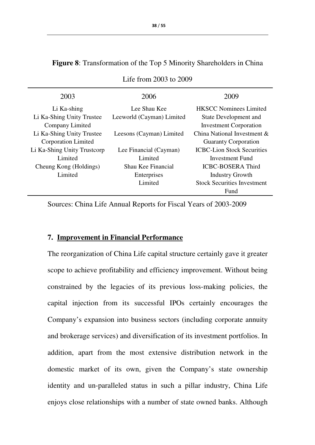| 2003                        | 2006                      | 2009                               |  |  |
|-----------------------------|---------------------------|------------------------------------|--|--|
| Li Ka-shing                 | Lee Shau Kee              | <b>HKSCC Nominees Limited</b>      |  |  |
| Li Ka-Shing Unity Trustee   | Leeworld (Cayman) Limited | State Development and              |  |  |
| Company Limited             |                           | <b>Investment Corporation</b>      |  |  |
| Li Ka-Shing Unity Trustee   | Leesons (Cayman) Limited  | China National Investment &        |  |  |
| Corporation Limited         |                           | <b>Guaranty Corporation</b>        |  |  |
| Li Ka-Shing Unity Trustcorp | Lee Financial (Cayman)    | <b>ICBC-Lion Stock Securities</b>  |  |  |
| Limited                     | Limited                   | Investment Fund                    |  |  |
| Cheung Kong (Holdings)      | Shau Kee Financial        | <b>ICBC-BOSERA Third</b>           |  |  |
| Limited                     | Enterprises               | <b>Industry Growth</b>             |  |  |
|                             | Limited                   | <b>Stock Securities Investment</b> |  |  |
|                             |                           | Fund                               |  |  |
|                             |                           |                                    |  |  |

# **Figure 8**: Transformation of the Top 5 Minority Shareholders in China

Life from 2003 to 2009

Sources: China Life Annual Reports for Fiscal Years of 2003-2009

#### **7. Improvement in Financial Performance**

The reorganization of China Life capital structure certainly gave it greater scope to achieve profitability and efficiency improvement. Without being constrained by the legacies of its previous loss-making policies, the capital injection from its successful IPOs certainly encourages the Company's expansion into business sectors (including corporate annuity and brokerage services) and diversification of its investment portfolios. In addition, apart from the most extensive distribution network in the domestic market of its own, given the Company's state ownership identity and un-paralleled status in such a pillar industry, China Life enjoys close relationships with a number of state owned banks. Although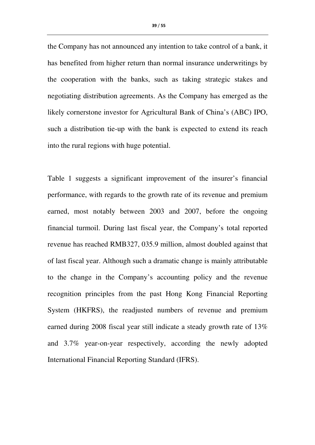39 / 55

the Company has not announced any intention to take control of a bank, it has benefited from higher return than normal insurance underwritings by the cooperation with the banks, such as taking strategic stakes and negotiating distribution agreements. As the Company has emerged as the likely cornerstone investor for Agricultural Bank of China's (ABC) IPO, such a distribution tie-up with the bank is expected to extend its reach into the rural regions with huge potential.

Table 1 suggests a significant improvement of the insurer's financial performance, with regards to the growth rate of its revenue and premium earned, most notably between 2003 and 2007, before the ongoing financial turmoil. During last fiscal year, the Company's total reported revenue has reached RMB327, 035.9 million, almost doubled against that of last fiscal year. Although such a dramatic change is mainly attributable to the change in the Company's accounting policy and the revenue recognition principles from the past Hong Kong Financial Reporting System (HKFRS), the readjusted numbers of revenue and premium earned during 2008 fiscal year still indicate a steady growth rate of 13% and 3.7% year-on-year respectively, according the newly adopted International Financial Reporting Standard (IFRS).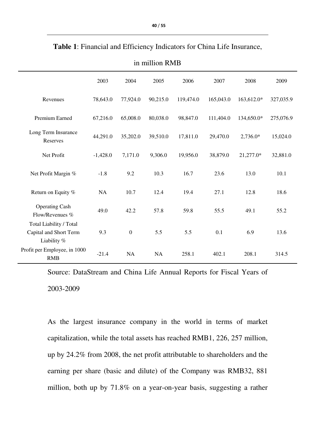|                                                                  | 2003       | 2004             | 2005      | 2006      | 2007      | 2008       | 2009      |
|------------------------------------------------------------------|------------|------------------|-----------|-----------|-----------|------------|-----------|
| Revenues                                                         | 78,643.0   | 77,924.0         | 90,215.0  | 119,474.0 | 165,043.0 | 163,612.0* | 327,035.9 |
| Premium Earned                                                   | 67,216.0   | 65,008.0         | 80,038.0  | 98,847.0  | 111,404.0 | 134,650.0* | 275,076.9 |
| Long Term Insurance<br>Reserves                                  | 44,291.0   | 35,202.0         | 39,510.0  | 17,811.0  | 29,470.0  | $2,736.0*$ | 15,024.0  |
| Net Profit                                                       | $-1,428.0$ | 7,171.0          | 9,306.0   | 19,956.0  | 38,879.0  | 21,277.0*  | 32,881.0  |
| Net Profit Margin %                                              | $-1.8$     | 9.2              | 10.3      | 16.7      | 23.6      | 13.0       | 10.1      |
| Return on Equity %                                               | NA         | 10.7             | 12.4      | 19.4      | 27.1      | 12.8       | 18.6      |
| <b>Operating Cash</b><br>Flow/Revenues %                         | 49.0       | 42.2             | 57.8      | 59.8      | 55.5      | 49.1       | 55.2      |
| Total Liability / Total<br>Capital and Short Term<br>Liability % | 9.3        | $\boldsymbol{0}$ | 5.5       | 5.5       | 0.1       | 6.9        | 13.6      |
| Profit per Employee, in 1000<br><b>RMB</b>                       | $-21.4$    | <b>NA</b>        | <b>NA</b> | 258.1     | 402.1     | 208.1      | 314.5     |

**Table 1**: Financial and Efficiency Indicators for China Life Insurance,

in million RMB

Source: DataStream and China Life Annual Reports for Fiscal Years of 2003-2009

As the largest insurance company in the world in terms of market capitalization, while the total assets has reached RMB1, 226, 257 million, up by 24.2% from 2008, the net profit attributable to shareholders and the earning per share (basic and dilute) of the Company was RMB32, 881 million, both up by 71.8% on a year-on-year basis, suggesting a rather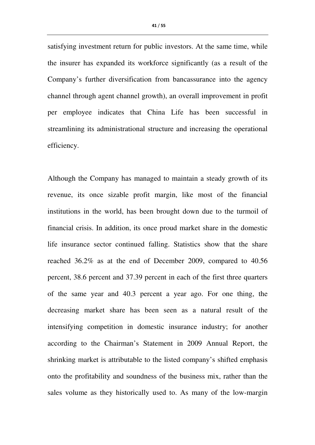satisfying investment return for public investors. At the same time, while the insurer has expanded its workforce significantly (as a result of the Company's further diversification from bancassurance into the agency channel through agent channel growth), an overall improvement in profit per employee indicates that China Life has been successful in streamlining its administrational structure and increasing the operational efficiency.

Although the Company has managed to maintain a steady growth of its revenue, its once sizable profit margin, like most of the financial institutions in the world, has been brought down due to the turmoil of financial crisis. In addition, its once proud market share in the domestic life insurance sector continued falling. Statistics show that the share reached 36.2% as at the end of December 2009, compared to 40.56 percent, 38.6 percent and 37.39 percent in each of the first three quarters of the same year and 40.3 percent a year ago. For one thing, the decreasing market share has been seen as a natural result of the intensifying competition in domestic insurance industry; for another according to the Chairman's Statement in 2009 Annual Report, the shrinking market is attributable to the listed company's shifted emphasis onto the profitability and soundness of the business mix, rather than the sales volume as they historically used to. As many of the low-margin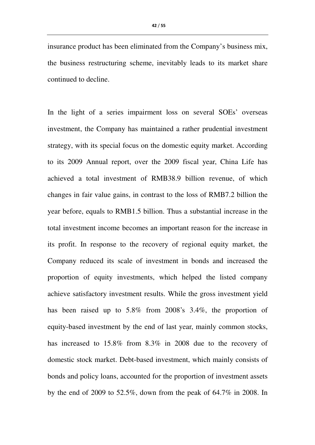insurance product has been eliminated from the Company's business mix, the business restructuring scheme, inevitably leads to its market share continued to decline.

In the light of a series impairment loss on several SOEs' overseas investment, the Company has maintained a rather prudential investment strategy, with its special focus on the domestic equity market. According to its 2009 Annual report, over the 2009 fiscal year, China Life has achieved a total investment of RMB38.9 billion revenue, of which changes in fair value gains, in contrast to the loss of RMB7.2 billion the year before, equals to RMB1.5 billion. Thus a substantial increase in the total investment income becomes an important reason for the increase in its profit. In response to the recovery of regional equity market, the Company reduced its scale of investment in bonds and increased the proportion of equity investments, which helped the listed company achieve satisfactory investment results. While the gross investment yield has been raised up to 5.8% from 2008's 3.4%, the proportion of equity-based investment by the end of last year, mainly common stocks, has increased to 15.8% from 8.3% in 2008 due to the recovery of domestic stock market. Debt-based investment, which mainly consists of bonds and policy loans, accounted for the proportion of investment assets by the end of 2009 to 52.5%, down from the peak of 64.7% in 2008. In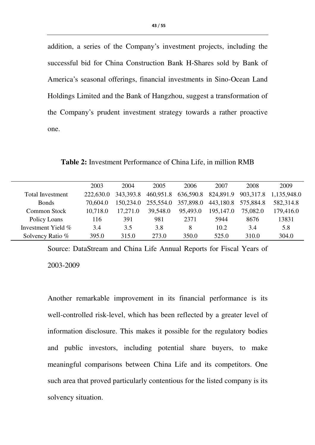addition, a series of the Company's investment projects, including the successful bid for China Construction Bank H-Shares sold by Bank of America's seasonal offerings, financial investments in Sino-Ocean Land Holdings Limited and the Bank of Hangzhou, suggest a transformation of the Company's prudent investment strategy towards a rather proactive one.

 2003 2004 2005 2006 2007 2008 2009 Total Investment 222,630.0 343,393.8 460,951.8 636,590.8 824,891.9 903,317.8 1,135,948.0 Bonds 70,604.0 150,234.0 255,554.0 357,898.0 443,180.8 575,884.8 582,314.8 Common Stock 10,718.0 17,271.0 39,548.0 95,493.0 195,147.0 75,082.0 179,416.0 Policy Loans 116 391 981 2371 5944 8676 13831 Investment Yield %  $3.4$   $3.5$   $3.8$   $8$   $10.2$   $3.4$   $5.8$ Solvency Ratio % 395.0 315.0 273.0 350.0 525.0 310.0 304.0

**Table 2:** Investment Performance of China Life, in million RMB

Source: DataStream and China Life Annual Reports for Fiscal Years of 2003-2009

Another remarkable improvement in its financial performance is its well-controlled risk-level, which has been reflected by a greater level of information disclosure. This makes it possible for the regulatory bodies and public investors, including potential share buyers, to make meaningful comparisons between China Life and its competitors. One such area that proved particularly contentious for the listed company is its solvency situation.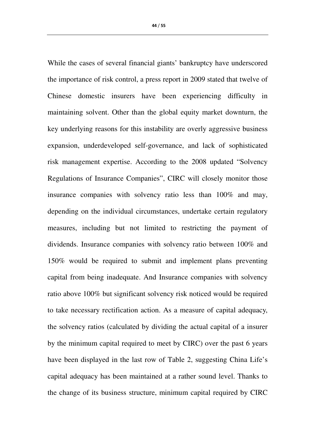While the cases of several financial giants' bankruptcy have underscored the importance of risk control, a press report in 2009 stated that twelve of Chinese domestic insurers have been experiencing difficulty in maintaining solvent. Other than the global equity market downturn, the key underlying reasons for this instability are overly aggressive business expansion, underdeveloped self-governance, and lack of sophisticated risk management expertise. According to the 2008 updated "Solvency Regulations of Insurance Companies", CIRC will closely monitor those insurance companies with solvency ratio less than 100% and may, depending on the individual circumstances, undertake certain regulatory measures, including but not limited to restricting the payment of dividends. Insurance companies with solvency ratio between 100% and 150% would be required to submit and implement plans preventing capital from being inadequate. And Insurance companies with solvency ratio above 100% but significant solvency risk noticed would be required to take necessary rectification action. As a measure of capital adequacy, the solvency ratios (calculated by dividing the actual capital of a insurer by the minimum capital required to meet by CIRC) over the past 6 years have been displayed in the last row of Table 2, suggesting China Life's capital adequacy has been maintained at a rather sound level. Thanks to the change of its business structure, minimum capital required by CIRC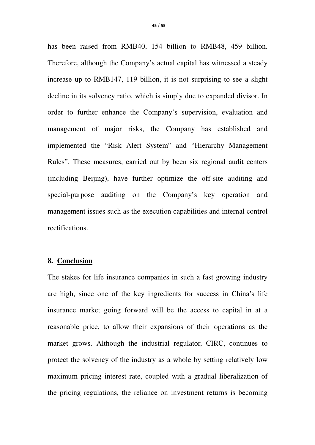has been raised from RMB40, 154 billion to RMB48, 459 billion. Therefore, although the Company's actual capital has witnessed a steady increase up to RMB147, 119 billion, it is not surprising to see a slight decline in its solvency ratio, which is simply due to expanded divisor. In order to further enhance the Company's supervision, evaluation and management of major risks, the Company has established and implemented the "Risk Alert System" and "Hierarchy Management Rules". These measures, carried out by been six regional audit centers (including Beijing), have further optimize the off-site auditing and special-purpose auditing on the Company's key operation and management issues such as the execution capabilities and internal control rectifications.

# **8. Conclusion**

The stakes for life insurance companies in such a fast growing industry are high, since one of the key ingredients for success in China's life insurance market going forward will be the access to capital in at a reasonable price, to allow their expansions of their operations as the market grows. Although the industrial regulator, CIRC, continues to protect the solvency of the industry as a whole by setting relatively low maximum pricing interest rate, coupled with a gradual liberalization of the pricing regulations, the reliance on investment returns is becoming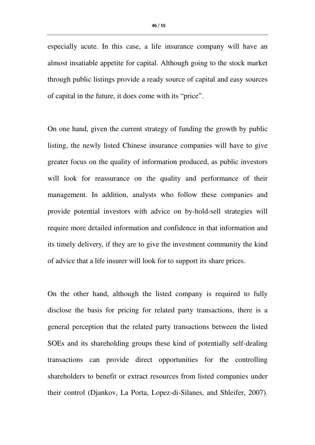especially acute. In this case, a life insurance company will have an almost insatiable appetite for capital. Although going to the stock market through public listings provide a ready source of capital and easy sources of capital in the future, it does come with its "price".

On one hand, given the current strategy of funding the growth by public listing, the newly listed Chinese insurance companies will have to give greater focus on the quality of information produced, as public investors will look for reassurance on the quality and performance of their management. In addition, analysts who follow these companies and provide potential investors with advice on by-hold-sell strategies will require more detailed information and confidence in that information and its timely delivery, if they are to give the investment community the kind of advice that a life insurer will look for to support its share prices.

On the other hand, although the listed company is required to fully disclose the basis for pricing for related party transactions, there is a general perception that the related party transactions between the listed SOEs and its shareholding groups these kind of potentially self-dealing transactions can provide direct opportunities for the controlling shareholders to benefit or extract resources from listed companies under their control (Djankov, La Porta, Lopez-di-Silanes, and Shleifer, 2007).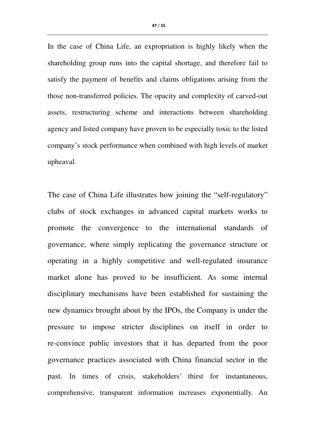In the case of China Life, an expropriation is highly likely when the shareholding group runs into the capital shortage, and therefore fail to satisfy the payment of benefits and claims obligations arising from the those non-transferred policies. The opacity and complexity of carved-out assets, restructuring scheme and interactions between shareholding agency and listed company have proven to be especially toxic to the listed company's stock performance when combined with high levels of market upheaval.

The case of China Life illustrates how joining the "self-regulatory" clubs of stock exchanges in advanced capital markets works to promote the convergence to the international standards of governance, where simply replicating the governance structure or operating in a highly competitive and well-regulated insurance market alone has proved to be insufficient. As some internal disciplinary mechanisms have been established for sustaining the new dynamics brought about by the IPOs, the Company is under the pressure to impose stricter disciplines on itself in order to re-convince public investors that it has departed from the poor governance practices associated with China financial sector in the past. In times of crisis, stakeholders' thirst for instantaneous, comprehensive, transparent information increases exponentially. An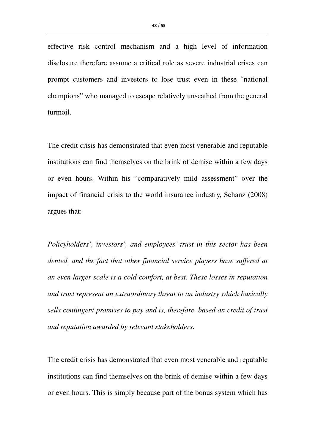effective risk control mechanism and a high level of information disclosure therefore assume a critical role as severe industrial crises can prompt customers and investors to lose trust even in these "national champions" who managed to escape relatively unscathed from the general turmoil.

The credit crisis has demonstrated that even most venerable and reputable institutions can find themselves on the brink of demise within a few days or even hours. Within his "comparatively mild assessment" over the impact of financial crisis to the world insurance industry, Schanz (2008) argues that:

*Policyholders', investors', and employees' trust in this sector has been dented, and the fact that other financial service players have suffered at an even larger scale is a cold comfort, at best. These losses in reputation and trust represent an extraordinary threat to an industry which basically sells contingent promises to pay and is, therefore, based on credit of trust and reputation awarded by relevant stakeholders.* 

The credit crisis has demonstrated that even most venerable and reputable institutions can find themselves on the brink of demise within a few days or even hours. This is simply because part of the bonus system which has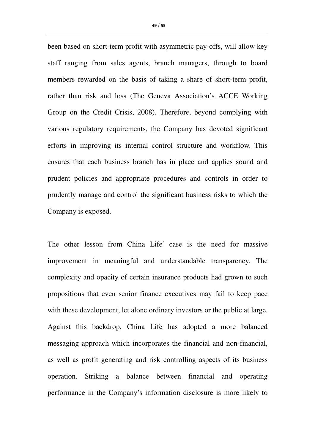been based on short-term profit with asymmetric pay-offs, will allow key staff ranging from sales agents, branch managers, through to board members rewarded on the basis of taking a share of short-term profit, rather than risk and loss (The Geneva Association's ACCE Working Group on the Credit Crisis, 2008). Therefore, beyond complying with various regulatory requirements, the Company has devoted significant efforts in improving its internal control structure and workflow. This ensures that each business branch has in place and applies sound and prudent policies and appropriate procedures and controls in order to prudently manage and control the significant business risks to which the Company is exposed.

The other lesson from China Life' case is the need for massive improvement in meaningful and understandable transparency. The complexity and opacity of certain insurance products had grown to such propositions that even senior finance executives may fail to keep pace with these development, let alone ordinary investors or the public at large. Against this backdrop, China Life has adopted a more balanced messaging approach which incorporates the financial and non-financial, as well as profit generating and risk controlling aspects of its business operation. Striking a balance between financial and operating performance in the Company's information disclosure is more likely to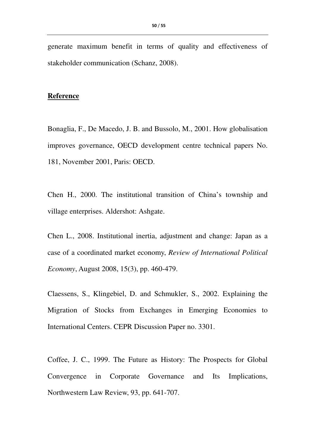generate maximum benefit in terms of quality and effectiveness of stakeholder communication (Schanz, 2008).

#### **Reference**

Bonaglia, F., De Macedo, J. B. and Bussolo, M., 2001. How globalisation improves governance, OECD development centre technical papers No. 181, November 2001, Paris: OECD.

Chen H., 2000. The institutional transition of China's township and village enterprises. Aldershot: Ashgate.

Chen L., 2008. Institutional inertia, adjustment and change: Japan as a case of a coordinated market economy, *Review of International Political Economy*, August 2008, 15(3), pp. 460-479.

Claessens, S., Klingebiel, D. and Schmukler, S., 2002. Explaining the Migration of Stocks from Exchanges in Emerging Economies to International Centers. CEPR Discussion Paper no. 3301.

Coffee, J. C., 1999. The Future as History: The Prospects for Global Convergence in Corporate Governance and Its Implications, Northwestern Law Review, 93, pp. 641-707.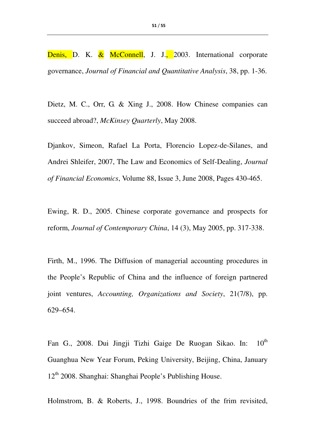Denis, D. K. & McConnell, J. J., 2003. International corporate governance, *Journal of Financial and Quantitative Analysis*, 38, pp. 1-36.

Dietz, M. C., Orr, G. & Xing J., 2008. How Chinese companies can succeed abroad?, *McKinsey Quarterly*, May 2008.

Djankov, Simeon, Rafael La Porta, Florencio Lopez-de-Silanes, and Andrei Shleifer, 2007, The Law and Economics of Self-Dealing, *Journal of Financial Economics*, Volume 88, Issue 3, June 2008, Pages 430-465.

Ewing, R. D., 2005. Chinese corporate governance and prospects for reform, *Journal of Contemporary China*, 14 (3), May 2005, pp. 317-338.

Firth, M., 1996. The Diffusion of managerial accounting procedures in the People's Republic of China and the influence of foreign partnered joint ventures, *Accounting, Organizations and Society*, 21(7/8), pp. 629–654.

Fan G., 2008. Dui Jingji Tizhi Gaige De Ruogan Sikao. In:  $10^{th}$ Guanghua New Year Forum, Peking University, Beijing, China, January 12<sup>th</sup> 2008. Shanghai: Shanghai People's Publishing House.

Holmstrom, B. & Roberts, J., 1998. Boundries of the frim revisited,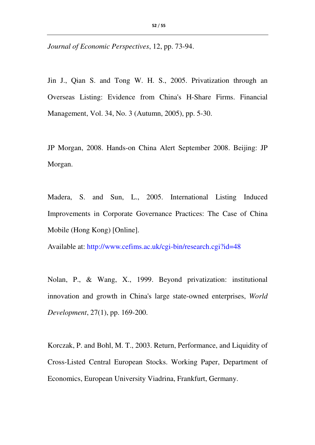*Journal of Economic Perspectives*, 12, pp. 73-94.

Jin J., Qian S. and Tong W. H. S., 2005. Privatization through an Overseas Listing: Evidence from China's H-Share Firms. Financial Management, Vol. 34, No. 3 (Autumn, 2005), pp. 5-30.

JP Morgan, 2008. Hands-on China Alert September 2008. Beijing: JP Morgan.

Madera, S. and Sun, L., 2005. International Listing Induced Improvements in Corporate Governance Practices: The Case of China Mobile (Hong Kong) [Online].

Available at: http://www.cefims.ac.uk/cgi-bin/research.cgi?id=48

Nolan, P., & Wang, X., 1999. Beyond privatization: institutional innovation and growth in China's large state-owned enterprises, *World Development*, 27(1), pp. 169-200.

Korczak, P. and Bohl, M. T., 2003. Return, Performance, and Liquidity of Cross-Listed Central European Stocks. Working Paper, Department of Economics, European University Viadrina, Frankfurt, Germany.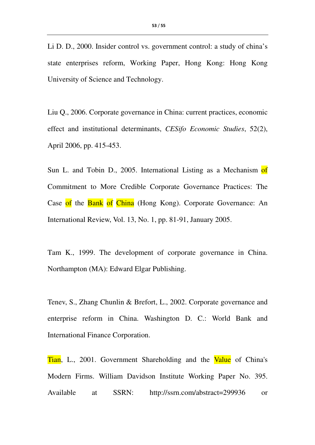Li D. D., 2000. Insider control vs. government control: a study of china's state enterprises reform, Working Paper, Hong Kong: Hong Kong University of Science and Technology.

Liu Q., 2006. Corporate governance in China: current practices, economic effect and institutional determinants, *CESifo Economic Studies*, 52(2), April 2006, pp. 415-453.

Sun L. and Tobin D., 2005. International Listing as a Mechanism of Commitment to More Credible Corporate Governance Practices: The Case of the Bank of China (Hong Kong). Corporate Governance: An International Review, Vol. 13, No. 1, pp. 81-91, January 2005.

Tam K., 1999. The development of corporate governance in China. Northampton (MA): Edward Elgar Publishing.

Tenev, S., Zhang Chunlin & Brefort, L., 2002. Corporate governance and enterprise reform in China. Washington D. C.: World Bank and International Finance Corporation.

Tian, L., 2001. Government Shareholding and the Value of China's Modern Firms. William Davidson Institute Working Paper No. 395. Available at SSRN: http://ssrn.com/abstract=299936 or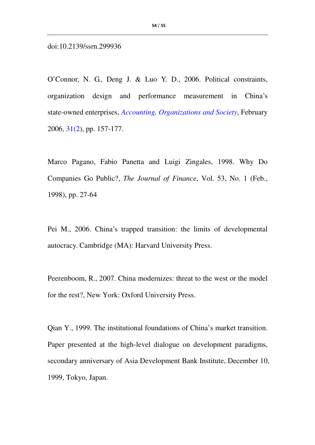doi:10.2139/ssrn.299936

O'Connor, N. G., Deng J. & Luo Y. D., 2006. Political constraints, organization design and performance measurement in China's state-owned enterprises, *Accounting, Organizations and Society*, February 2006, 31(2), pp. 157-177.

Marco Pagano, Fabio Panetta and Luigi Zingales, 1998. Why Do Companies Go Public?, *The Journal of Finance*, Vol. 53, No. 1 (Feb., 1998), pp. 27-64

Pei M., 2006. China's trapped transition: the limits of developmental autocracy. Cambridge (MA): Harvard University Press.

Peerenboom, R., 2007. China modernizes: threat to the west or the model for the rest?, New York: Oxford University Press.

Qian Y., 1999. The institutional foundations of China's market transition. Paper presented at the high-level dialogue on development paradigms, secondary anniversary of Asia Development Bank Institute, December 10, 1999, Tokyo, Japan.